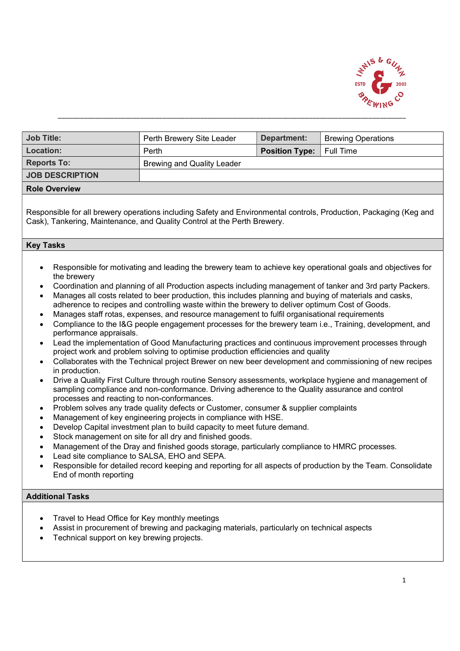

| <b>Job Title:</b>      | Perth Brewery Site Leader         | Department:                     | <b>Brewing Operations</b> |
|------------------------|-----------------------------------|---------------------------------|---------------------------|
| Location:              | Perth                             | <b>Position Type:</b> Full Time |                           |
| <b>Reports To:</b>     | <b>Brewing and Quality Leader</b> |                                 |                           |
| <b>JOB DESCRIPTION</b> |                                   |                                 |                           |
| <b>Role Overview</b>   |                                   |                                 |                           |

Responsible for all brewery operations including Safety and Environmental controls, Production, Packaging (Keg and Cask), Tankering, Maintenance, and Quality Control at the Perth Brewery.

## Key Tasks

- Responsible for motivating and leading the brewery team to achieve key operational goals and objectives for the brewery
- Coordination and planning of all Production aspects including management of tanker and 3rd party Packers.
- Manages all costs related to beer production, this includes planning and buying of materials and casks, adherence to recipes and controlling waste within the brewery to deliver optimum Cost of Goods.
- Manages staff rotas, expenses, and resource management to fulfil organisational requirements
- Compliance to the I&G people engagement processes for the brewery team i.e., Training, development, and performance appraisals.
- Lead the implementation of Good Manufacturing practices and continuous improvement processes through project work and problem solving to optimise production efficiencies and quality
- Collaborates with the Technical project Brewer on new beer development and commissioning of new recipes in production.
- Drive a Quality First Culture through routine Sensory assessments, workplace hygiene and management of sampling compliance and non-conformance. Driving adherence to the Quality assurance and control processes and reacting to non-conformances.
- Problem solves any trade quality defects or Customer, consumer & supplier complaints
- Management of key engineering projects in compliance with HSE.
- Develop Capital investment plan to build capacity to meet future demand.
- Stock management on site for all dry and finished goods.
- Management of the Dray and finished goods storage, particularly compliance to HMRC processes.
- Lead site compliance to SALSA, EHO and SEPA.
- Responsible for detailed record keeping and reporting for all aspects of production by the Team. Consolidate End of month reporting

## Additional Tasks

- Travel to Head Office for Key monthly meetings
- Assist in procurement of brewing and packaging materials, particularly on technical aspects
- Technical support on key brewing projects.